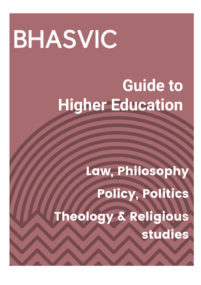# **BHASVIC**

# **Guide to Higher Education**

Law, Philosophy Policy, Politics Theology & Religious studies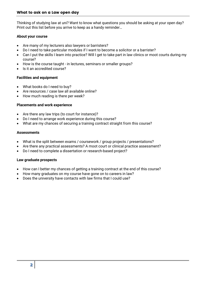Thinking of studying law at uni? Want to know what questions you should be asking at your open day? Print out this list before you arrive to keep as a handy reminder…

# **About your course**

- Are many of my lecturers also lawyers or barristers?
- Do I need to take particular modules if I want to become a solicitor or a barrister?
- Can I put the skills I learn into practice? Will I get to take part in law clinics or moot courts during my course?
- How is the course taught in lectures, seminars or smaller groups?
- Is it an accredited course?

# **Facilities and equipment**

- What books do I need to buy?
- Are resources / case law all available online?
- How much reading is there per week?

# **Placements and work experience**

- Are there any law trips (to court for instance)?
- Do I need to arrange work experience during this course?
- What are my chances of securing a training contract straight from this course?

#### **Assessments**

- What is the split between exams / coursework / group projects / presentations?
- Are there any practical assessments? A moot court or clinical practice assessment?
- Do I need to complete a dissertation or research-based project?

#### **Law graduate prospects**

- How can I better my chances of getting a training contract at the end of this course?
- How many graduates on my course have gone on to careers in law?
- Does the university have contacts with law firms that I could use?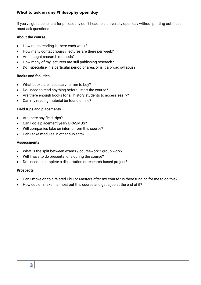If you've got a penchant for philosophy don't head to a university open day without printing out these must-ask questions…

# **About the course**

- How much reading is there each week?
- How many contact hours / lectures are there per week?
- Am I taught research methods?
- How many of my lecturers are still publishing research?
- Do I specialise in a particular period or area, or is it a broad syllabus?

# **Books and facilities**

- What books are necessary for me to buy?
- Do I need to read anything before I start the course?
- Are there enough books for all history students to access easily?
- Can my reading material be found online?

# **Field trips and placements**

- Are there any field trips?
- Can I do a placement year? ERASMUS?
- Will companies take on interns from this course?
- Can I take modules in other subjects?

# **Assessments**

- What is the split between exams / coursework / group work?
- Will I have to do presentations during the course?
- Do I need to complete a dissertation or research-based project?

# **Prospects**

- Can I move on to a related PhD or Masters after my course? Is there funding for me to do this?
- How could I make the most out this course and get a job at the end of it?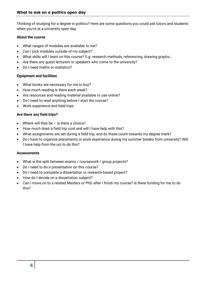Thinking of studying for a degree in politics? Here are some questions you could ask tutors and students when you're at a university open day.

# **About the course**

- What ranges of modules are available to me?
- Can I pick modules outside of my subject?
- What skills will I learn on this course? E.g. research methods, referencing, drawing graphs…
- Are there any guest lecturers or speakers who come to the university?
- Do I need maths or statistics?

# **Equipment and facilities**

- What books are necessary for me to buy?
- How much reading is there each week?
- Are resources and reading material available to use online?
- Do I need to read anything before I start the course?
- Work experience and field trips

# **Are there any field trips?**

- Where will they be  $-$  is there a choice?
- How much does a field trip cost and will I have help with this?
- What assignments are set during a field trip, and do these count towards my degree mark?
- Do I have to organise placements or work experience during my summer breaks from university? Will I have help from the uni to do this?

# **Assessments**

- What is the split between exams / coursework / group projects?
- Do I need to do a presentation on this course?
- Do I need to complete a dissertation or research-based project?
- How do I decide on a dissertation subject?
- Can I move on to a related Masters or PhD after I finish my course? Is there funding for me to do this?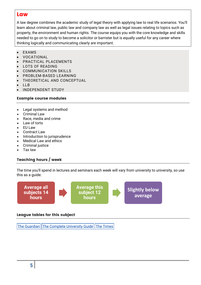# **Law**

A law degree combines the academic study of legal theory with applying law to real life scenarios. You'll learn about criminal law, public law and company law as well as legal issues relating to topics such as property, the environment and human rights. The course equips you with the core knowledge and skills needed to go on to study to become a solicitor or barrister but is equally useful for any career where thinking logically and communicating clearly are important.

- EXAMS
- VOCATIONAL
- PRACTICAL PLACEMENTS
- LOTS OF READING
- COMMUNICATION SKILLS
- PROBLEM-BASED LEARNING
- THEORETICAL AND CONCEPTUAL
- LLB
- INDEPENDENT STUDY

# Example course modules

- Legal systems and method
- Criminal Law
- Race, media and crime
- Law of torts
- EU Law
- Contract Law
- Introduction to jurisprudence
- Medical Law and ethics
- Criminal justice
- Tax law

# Teaching hours / week

The time you'll spend in lectures and seminars each week will vary from university to university, so use this as a guide.



# League tables for this subject

The [Guardian](https://www.theguardian.com/education/ng-interactive/2017/may/16/university-league-tables-2018) The Complete [University](http://www.thecompleteuniversityguide.co.uk/league-tables/rankings?s=Architecture) Guide The [Times](https://www.thetimes.co.uk/article/top-by-subject-mgbnm672r)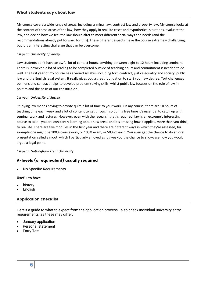#### What students say about law

My course covers a wide range of areas, including criminal law, contract law and property law. My course looks at the content of these areas of the law, how they apply in real life cases and hypothetical situations, evaluate the law, and decide how we feel the law should alter to meet different social ways and needs (and the recommendations already put forward for this). These different aspects make the course extremely challenging, but it is an interesting challenge that can be overcome.

#### *1st year, University of Surrey*

Law students don't have an awful lot of contact hours, anything between eight to 12 hours including seminars. There is, however, a lot of reading to be completed outside of teaching hours and commitment is needed to do well. The first year of my course has a varied syllabus including tort, contract, justice equality and society, public law and the English legal system. It really gives you a great foundation to start your law degree. Tort challenges opinions and contract helps to develop problem solving skills, whilst public law focuses on the role of law in politics and the basis of our constitution.

#### *1st year, University of Sussex*

Studying law means having to devote quite a lot of time to your work. On my course, there are 10 hours of teaching time each week and a lot of content to get through, so during free time it's essential to catch up with seminar work and lectures. However, even with the research that is required, law is an extremely interesting course to take - you are constantly learning about new areas and it's amazing how it applies, more than you think, to real life. There are five modules in the first year and there are different ways in which they're assessed, for example one might be 100% coursework, or 100% exam, or 50% of each. You even get the chance to do an oral presentation called a moot, which I particularly enjoyed as it gives you the chance to showcase how you would argue a legal point.

#### *1st year, Nottingham Trent University*

# A-levels (or equivalent) usually required

No Specific Requirements

# **Useful to have**

- history
- English

# Application checklist

Here's a guide to what to expect from the application process - also check individual university entry requirements, as these may differ.

- January application
- Personal statement
- Entry Test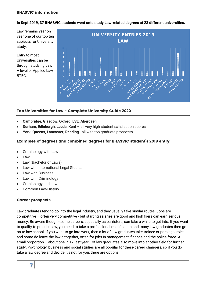**In Sept 2019, 37 BHASVIC students went onto study Law-related degrees at 23 different universities.**

Law remains year on year one of our top ten subjects for University study.

Entry to most Universities can be through studying Law A level or Applied Law BTEC.



# Top Universities for Law - Complete University Guide 2020

- **Cambridge, Glasgow, Oxford, LSE, Aberdeen**
- **Durham, Edinburgh, Leeds, Kent**  all very high student satisfaction scores
- **York, Queens, Lancaster, Reading**  all with top graduate prospects

# Examples of degrees and combined degrees for BHASVIC student's 2019 entry

- Criminology with Law
- Law
- Law (Bachelor of Laws)
- Law with International Legal Studies
- Law with Business
- Law with Criminology
- Criminology and Law
- Common Law/History

# Career prospects

Law graduates tend to go into the legal industry, and they usually take similar routes. Jobs are competitive – often very competitive - but starting salaries are good and high fliers can earn serious money. Be aware though - some careers, especially as barristers, can take a while to get into. If you want to qualify to practice law, you need to take a professional qualification and many law graduates then go on to law school. If you want to go into work, then a lot of law graduates take trainee or paralegal roles and some do leave the law altogether, often for jobs in management, finance and the police force. A small proportion – about one in 17 last year– of law graduates also move into another field for further study. Psychology, business and social studies are all popular for these career changers, so if you do take a law degree and decide it's not for you, there are options.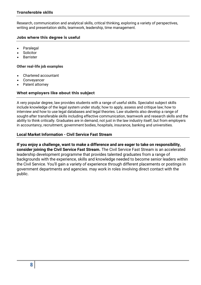Research, communication and analytical skills, critical thinking, exploring a variety of perspectives, writing and presentation skills, teamwork, leadership, time management.

# Jobs where this degree is useful

- Paralegal
- **Solicitor**
- Barrister

#### **Other real-life job examples**

- Chartered accountant
- Conveyancer
- Patent attorney

# What employers like about this subject

A very popular degree, law provides students with a range of useful skills. Specialist subject skills include knowledge of the legal system under study; how to apply, assess and critique law; how to interview and how to use legal databases and legal theories. Law students also develop a range of sought-after transferable skills including effective communication, teamwork and research skills and the ability to think critically. Graduates are in demand, not just in the law industry itself, but from employers in accountancy, recruitment, government bodies, hospitals, insurance, banking and universities.

# **Local Market Information - Civil Service Fast Stream**

**If you enjoy a challenge, want to make a difference and are eager to take on responsibility, consider joining the Civil Service Fast Stream.** The Civil Service Fast Stream is an accelerated leadership development programme that provides talented graduates from a range of backgrounds with the experience, skills and knowledge needed to become senior leaders within the Civil Service. You'll gain a variety of experience through different placements or postings in government departments and agencies. may work in roles involving direct contact with the public.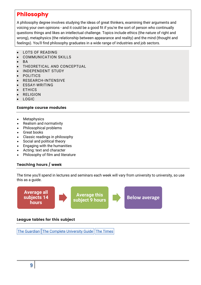# Philosophy

A philosophy degree involves studying the ideas of great thinkers, examining their arguments and voicing your own opinions - and it could be a good fit if you're the sort of person who continually questions things and likes an intellectual challenge. Topics include ethics (the nature of right and wrong), metaphysics (the relationship between appearance and reality) and the mind (thought and feelings). You'll find philosophy graduates in a wide range of industries and job sectors.

- LOTS OF READING
- COMMUNICATION SKILLS
- **BA**
- THEORETICAL AND CONCEPTUAL
- INDEPENDENT STUDY
- POLITICS
- RESEARCH-INTENSIVE
- ESSAY-WRITING
- ETHICS
- RELIGION
- LOGIC

# Example course modules

- **Metaphysics**
- Realism and normativity
- Philosophical problems
- Great books
- Classic readings in philosophy
- Social and political theory
- Engaging with the humanities
- Acting: text and character
- Philosophy of film and literature

# Teaching hours / week

The time you'll spend in lectures and seminars each week will vary from university to university, so use this as a guide.



# League tables for this subject

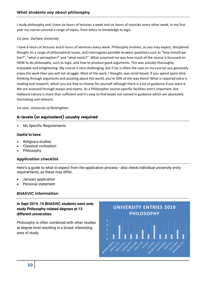I study philosophy and I have six hours of lectures a week and six hours of tutorials every other week. In my first year my course covered a range of topics, from ethics to knowledge to logic.

#### *1st year, Durham University*

I have 6 hours of lectures and 6 hours of seminars every week. Philosophy involves, as you may expect, disciplined thought on a range of philosophical issues, and interrogates possible answers questions such as "how should we live?", "what is perception?" and "what exists?". What surprised me was how much of the course is focussed on HOW to do philosophy, such as logic, and how to produce good arguments. This was actually thoroughly enjoyable and enlightening. My course is very challenging, but if (as is often the case on my course) you genuinely enjoy the work then you will not struggle. Most of the work, I thought, was mind-based. If you spend spare time thinking through arguments and puzzling about the world, you're 50% of the way there! What is required extra is reading and research, which you are free to choose for yourself although there is a lot of guidance if you want it. We are assessed through essays and exams. As a Philosopher course-specific facilities aren't important, but Hallward Library is more than sufficient and it's easy to find books not named in guidance which are absolutely fascinating and relevant.

# *1st year, University of Nottingham*

# A-levels (or equivalent) usually required

No Specific Requirements

# **Useful to have**

- Religious studies
- Classical civilisation
- Philosophy

# Application checklist

Here's a guide to what to expect from the application process - also check individual university entry requirements, as these may differ.

- January application
- Personal statement

# BHASVIC information

# **In Sept 2019, 19 BHASVIC students went onto study Philosophy-related degrees at 13 different universities**

Philosophy is often combined with other studies at degree level resulting in a broad, interesting area of study.

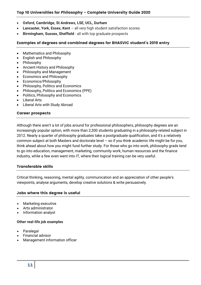# Top 10 Universities for Philosophy - Complete University Guide 2020

- **Oxford, Cambridge, St Andrews, LSE, UCL, Durham**
- **Lancaster, York, Essex, Kent**  all very high student satisfaction scores
- **Birmingham, Sussex, Sheffield**  all with top graduate prospects

# Examples of degrees and combined degrees for BHASVIC student's 2019 entry

- Mathematics and Philosophy
- English and Philosophy
- Philosophy
- Ancient History and Philosophy
- Philosophy and Management
- Economics and Philosophy
- Economics/Philosophy
- Philosophy, Politics and Economics
- Philosophy, Politics and Economics (PPE)
- Politics, Philosophy and Economics
- Liberal Arts
- Liberal Arts with Study Abroad

# Career prospects

Although there aren't a lot of jobs around for professional philosophers, philosophy degrees are an increasingly popular option, with more than 2,300 students graduating in a philosophy-related subject in 2012. Nearly a quarter of philosophy graduates take a postgraduate qualification, and it's a relatively common subject at both Masters and doctorate level – so if you think academic life might be for you, think ahead about how you might fund further study. For those who go into work, philosophy grads tend to go into education, management, marketing, community work, human resources and the finance industry, while a few even went into IT, where their logical training can be very useful.

#### Transferable skills

Critical thinking, reasoning, mental agility, communication and an appreciation of other people's viewpoints, analyse arguments, develop creative solutions & write persuasively.

# Jobs where this degree is useful

- Marketing executive
- Arts administrator
- Information analyst

#### **Other real-life job examples**

- Paralegal
- Financial advisor
- Management information officer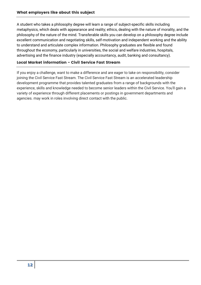A student who takes a philosophy degree will learn a range of subject-specific skills including metaphysics, which deals with appearance and reality; ethics, dealing with the nature of morality, and the philosophy of the nature of the mind. Transferable skills you can develop on a philosophy degree include excellent communication and negotiating skills, self-motivation and independent working and the ability to understand and articulate complex information. Philosophy graduates are flexible and found throughout the economy, particularly in universities, the social and welfare industries, hospitals, advertising and the finance industry (especially accountancy, audit, banking and consultancy).

# Local Market information - Civil Service Fast Stream

If you enjoy a challenge, want to make a difference and are eager to take on responsibility, consider joining the Civil Service Fast Stream. The Civil Service Fast Stream is an accelerated leadership development programme that provides talented graduates from a range of backgrounds with the experience, skills and knowledge needed to become senior leaders within the Civil Service. You'll gain a variety of experience through different placements or postings in government departments and agencies. may work in roles involving direct contact with the public.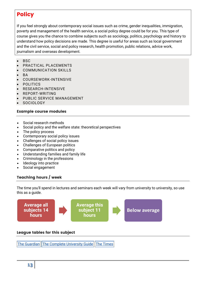# **Policy**

If you feel strongly about contemporary social issues such as crime, gender inequalities, immigration, poverty and management of the health service, a social policy degree could be for you. This type of course gives you the chance to combine subjects such as sociology, politics, psychology and history to understand how policy decisions are made. This degree is useful for areas such as local government and the civil service, social and policy research, health promotion, public relations, advice work, journalism and overseas development.

- **BSC**
- PRACTICAL PLACEMENTS
- COMMUNICATION SKILLS
- R A
- COURSEWORK-INTENSIVE
- POLITICS
- RESEARCH-INTENSIVE
- REPORT-WRITING
- PUBLIC SERVICE MANAGEMENT
- SOCIOLOGY

# Example course modules

- Social research methods
- Social policy and the welfare state: theoretical perspectives
- The policy process
- Contemporary social policy issues
- Challenges of social policy issues
- Challenges of European politics
- Comparative politics and policy
- Understanding families and family life
- Criminology in the professions
- Ideology into practice
- Social engagement

# Teaching hours / week

The time you'll spend in lectures and seminars each week will vary from university to university, so use this as a guide.



# League tables for this subject

The [Guardian](https://www.theguardian.com/education/ng-interactive/2017/may/16/university-league-tables-2018) The Complete [University](http://www.thecompleteuniversityguide.co.uk/league-tables/rankings?s=Architecture) Guide The [Times](https://www.thetimes.co.uk/article/top-by-subject-mgbnm672r)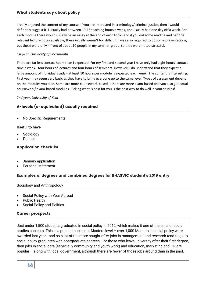I really enjoyed the content of my course. If you are interested in criminology/ criminal justice, then I would definitely suggest it. I usually had between 10-15 teaching hours a week, and usually had one day off a week. For each module there would usually be an essay at the end of each topic, and if you did some reading and had the relevant lecture notes available, these usually weren't too difficult. I was also required to do some presentations, but these were only infront of about 10 people in my seminar group, so they weren't too stressful.

#### *1st year, University of Portsmouth*

There are far less contact hours than I expected. For my first and second year I have only had eight hours' contact time a week - four hours of lectures and four hours of seminars. However, I do understand that they expect a large amount of individual study - at least 10 hours per module is expected each week! The content is interesting. First year may seem very basic as they have to bring everyone up to the same level. Types of assessment depend on the modules you take. Some are more coursework-based, others are more exam-based and you also get equal coursework/ exam-based modules. Picking what is best for you is the best way to do well in your studies!

# *2nd year, University of Kent*

# A-levels (or equivalent) usually required

No Specific Requirements

# **Useful to have**

- Sociology
- **Politics**

# Application checklist

- January application
- Personal statement

# Examples of degrees and combined degrees for BHASVIC student's 2019 entry

# Sociology and Anthropology

- Social Policy with Year Abroad
- Public Health
- Social Policy and Politics

# Career prospects

Just under 1,500 students graduated in social policy in 2012, which makes it one of the smaller social studies subjects. This is a popular subject at Masters level – over 1,000 Masters in social policy were awarded last year - and so a lot of the more sought-after jobs in management and research tend to go to social policy graduates with postgraduate degrees. For those who leave university after their first degree, then jobs in social care (especially community and youth work) and education, marketing and HR are popular – along with local government, although there are fewer of those jobs around than in the past.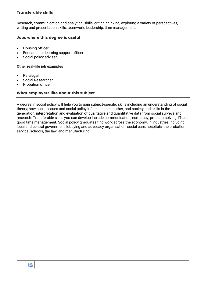Research, communication and analytical skills, critical thinking, exploring a variety of perspectives, writing and presentation skills, teamwork, leadership, time management.

# Jobs where this degree is useful

- Housing officer
- Education or learning support officer
- Social policy adviser

#### **Other real-life job examples**

- Paralegal
- Social Researcher
- Probation officer

# What employers like about this subject

A degree in social policy will help you to gain subject-specific skills including an understanding of social theory; how social issues and social policy influence one another, and society and skills in the generation, interpretation and evaluation of qualitative and quantitative data from social surveys and research. Transferable skills you can develop include communication, numeracy, problem-solving, IT and good time management. Social policy graduates find work across the economy, in industries including local and central government, lobbying and advocacy organisation, social care, hospitals, the probation service, schools, the law, and manufacturing.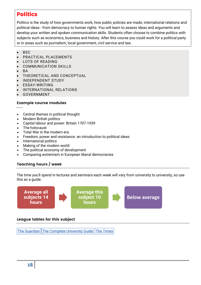# **Politics**

Politics is the study of how governments work, how public policies are made, international relations and political ideas - from democracy to human rights. You will learn to assess ideas and arguments and develop your written and spoken communication skills. Students often choose to combine politics with subjects such as economics, business and history. After this course you could work for a political party or in areas such as journalism, local government, civil service and law.

- BSC
- PRACTICAL PLACEMENTS
- LOTS OF READING
- COMMUNICATION SKILLS
- BA
- THEORETICAL AND CONCEPTUAL
- INDEPENDENT STUDY
- ESSAY-WRITING
- INTERNATIONAL RELATIONS
- GOVERNMENT

# Example course modules

- Central themes in political thought
- Modern British politics
- Capital labour and power: Britain 1707-1939
- The holocaust
- Total War in the modern era
- Freedom, power and resistance: an introduction to political ideas
- International politics
- Making of the modern world
- The political economy of development
- Comparing extremism in European liberal democracies

# Teaching hours / week

The time you'll spend in lectures and seminars each week will vary from university to university, so use this as a guide.



# League tables for this subject

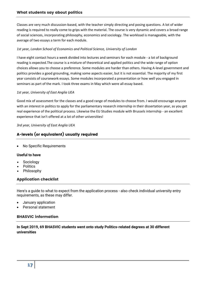Classes are very much discussion-based, with the teacher simply directing and posing questions. A lot of wider reading is required to really come to grips with the material. The course is very dynamic and covers a broad range of social sciences, incorporating philosophy, economics and sociology. The workload is manageable, with the average of two essays a term for each module.

# *1st year, London School of Economics and Political Science, University of London*

I have eight contact hours a week divided into lectures and seminars for each module - a lot of background reading is expected.The course is a mixture of theoretical and applied politics and the wide range of option choices allows you to choose a preference. Some modules are harder than others. Having A-level government and politics provides a good grounding, making some aspects easier, but it is not essential. The majority of my first year consists of coursework essays. Some modules incorporated a presentation or how well you engaged in seminars as part of the mark. I took three exams in May which were all essay based.

#### *1st year, University of East Anglia UEA*

Good mix of assessment for the classes and a good range of modules to choose from. I would encourage anyone with an interest in politics to apply for the parliamentary research internship in their dissertation year, as you get real experience of the political process. Likewise the EU Studies module with Brussels internship - an excellent experience that isn't offered at a lot of other universities!

# *3rd year, University of East Anglia UEA*

# A-levels (or equivalent) usually required

No Specific Requirements

# **Useful to have**

- Sociology
- **Politics**
- Philosophy

# Application checklist

Here's a guide to what to expect from the application process - also check individual university entry requirements, as these may differ.

- January application
- Personal statement

# BHASVIC information

**In Sept 2019, 69 BHASVIC students went onto study Politics-related degrees at 30 different universities**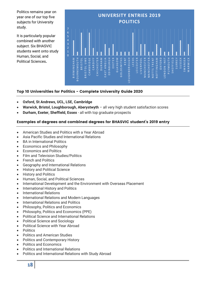Politics remains year on year one of our top five subjects for University study.

It is particularly popular combined with another subject. Six BHASVIC students went onto study Human, Social, and Political Sciences**.**

|                                                                                                    | <b>UNIVERSITY ENTRIES 2019</b><br><b>POLITICS</b> |                        |                          |                             |                            |                   |            |        |                          |                      |                        |                |                                                                |      |              |                          |                      |              |                          |                              |                                                   |                          |                   |                   |                             |              |            |                  |                       |                                                |
|----------------------------------------------------------------------------------------------------|---------------------------------------------------|------------------------|--------------------------|-----------------------------|----------------------------|-------------------|------------|--------|--------------------------|----------------------|------------------------|----------------|----------------------------------------------------------------|------|--------------|--------------------------|----------------------|--------------|--------------------------|------------------------------|---------------------------------------------------|--------------------------|-------------------|-------------------|-----------------------------|--------------|------------|------------------|-----------------------|------------------------------------------------|
| 7<br>6<br>5<br>$\overline{\mathcal{L}}$<br>3<br>$\overline{a}$<br>$\overline{1}$<br>$\overline{0}$ | <b>CONTRACTOR</b>                                 | Î                      | <b>PERSONAL PROPERTY</b> |                             |                            | <b>Concording</b> | Ø          | Ĭ      | <b>Property Services</b> |                      | Ř<br><b>CONTRACTOR</b> | į              | Ø                                                              | Ĭ    | ł            | <b>PERSONAL PROPERTY</b> |                      |              | <b>PERSONAL PROPERTY</b> | B                            | Ĭ                                                 | <b>PERSONAL PROPERTY</b> | <b>Contractor</b> | Ĭ                 | ğ                           |              | Ø          | 2000000000000000 | Ø                     | <b><i><u><u><b>DESCRIPTION</b></u></u></i></b> |
|                                                                                                    | BIRMINGHAM                                        | OURNEMOUTH<br>$\omega$ | <b>BRISTOL</b>           | U W E<br>RISTOL<br>$\omega$ | AMBRIDGE<br>$\overline{C}$ | CARDIFF           | CHICHESTER | DURHAM | ANGLIA<br>EAS            | <b>DINBURGH</b><br>ш | EXETER                 | <b>GLASGOW</b> | <b>SMITHS</b><br>$\overline{\mathsf{C}}$<br>$\circ$<br>$\circ$ | KENT | LOUGHBOROUGH | LEEDS                    | $\propto$<br>LEICEST | C<br>LIVERPO | ANCHESTER<br>έ           | $\mathbb{E}$<br>ANCHEST<br>Σ | TRENT<br>$\frac{5}{1}$<br>$\vdash$<br>Ō<br>$\geq$ | NOTTINGHAM               | OXFORD            | <b>LONDON INS</b> | <b>II</b><br><b>DIVANOU</b> | ◠<br>SHEFFIE | œ<br>SURRI | <b>SUSSE</b>     | $\prec$<br>ш<br>SWANS | ARWICK<br>$\geq$                               |

# Top 10 Universities for Politics - Complete University Guide 2020

- **Oxford, St Andrews, UCL, LSE, Cambridge**
- **Warwick, Bristol, Loughborough, Aberystwyth**  all very high student satisfaction scores
- **Durham, Exeter, Sheffield, Essex**  all with top graduate prospects

# Examples of degrees and combined degrees for BHASVIC student's 2019 entry

- American Studies and Politics with a Year Abroad
- Asia Pacific Studies and International Relations
- BA in International Politics
- Economics and Philosophy
- Economics and Politics
- Film and Television Studies/Politics
- French and Politics
- Geography and International Relations
- **•** History and Political Science
- History and Politics
- Human, Social, and Political Sciences
- International Development and the Environment with Overseas Placement
- International History and Politics
- International Relations
- International Relations and Modern Languages
- International Relations and Politics
- Philosophy, Politics and Economics
- Philosophy, Politics and Economics (PPE)
- Political Science and International Relations
- Political Science and Sociology
- Political Science with Year Abroad
- Politics
- Politics and American Studies
- Politics and Contemporary History
- Politics and Economics
- Politics and International Relations
- Politics and International Relations with Study Abroad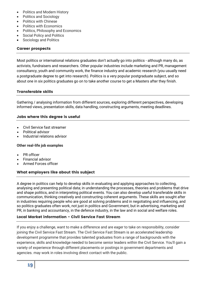- Politics and Modern History
- Politics and Sociology
- Politics with Chinese
- Politics with Economics
- Politics, Philosophy and Economics
- Social Policy and Politics
- Sociology and Politics

# Career prospects

Most politics or international relations graduates don't actually go into politics - although many do, as activists, fundraisers and researchers. Other popular industries include marketing and PR, management consultancy, youth and community work, the finance industry and academic research (you usually need a postgraduate degree to get into research). Politics is a very popular postgraduate subject, and so about one in six politics graduates go on to take another course to get a Masters after they finish.

# Transferable skills

Gathering / analysing information from different sources, exploring different perspectives, developing informed views, presentation skills, data handling, constructing arguments, meeting deadlines.

# Jobs where this degree is useful

- Civil Service fast streamer
- Political advisor
- Industrial relations advisor

# **Other real-life job examples**

- PR officer
- Financial advisor
- Armed Forces officer

# What employers like about this subject

A degree in politics can help to develop skills in evaluating and applying approaches to collecting, analysing and presenting political data; in understanding the processes, theories and problems that drive and shape politics, and in interpreting political events. You can also develop useful transferable skills in communication, thinking creatively and constructing coherent arguments. These skills are sought after in industries requiring people who are good at solving problems and in negotiating and influencing, and so politics graduates often work, not just in politics and Government, but in advertising, marketing and PR, in banking and accountancy, in the defence industry, in the law and in social and welfare roles.

# Local Market information - Civil Service Fast Stream

If you enjoy a challenge, want to make a difference and are eager to take on responsibility, consider joining the Civil Service Fast Stream. The Civil Service Fast Stream is an accelerated leadership development programme that provides talented graduates from a range of backgrounds with the experience, skills and knowledge needed to become senior leaders within the Civil Service. You'll gain a variety of experience through different placements or postings in government departments and agencies. may work in roles involving direct contact with the public.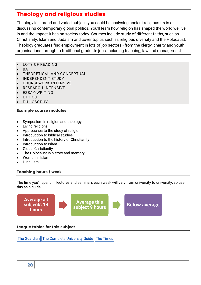# Theology and religious studies

Theology is a broad and varied subject; you could be analysing ancient religious texts or discussing contemporary global politics. You'll learn how religion has shaped the world we live in and the impact it has on society today. Courses include study of different faiths, such as Christianity, Islam and Judaism and cover topics such as religious diversity and the Holocaust. Theology graduates find employment in lots of job sectors - from the clergy, charity and youth organisations through to traditional graduate jobs, including teaching, law and management.

- LOTS OF READING
- BA
- THEORETICAL AND CONCEPTUAL
- INDEPENDENT STUDY
- COURSEWORK-INTENSIVE
- RESEARCH-INTENSIVE
- ESSAY-WRITING
- ETHICS
- PHILOSOPHY

# Example course modules

- Symposium in religion and theology
- Living religions
- Approaches to the study of religion
- Introduction to biblical studies
- Introduction to the history of Christianity
- Introduction to Islam
- Global Christianity
- The Holocaust in history and memory
- Women in Islam
- Hinduism

# Teaching hours / week

The time you'll spend in lectures and seminars each week will vary from university to university, so use this as a quide.



The [Guardian](https://www.theguardian.com/education/ng-interactive/2017/may/16/university-league-tables-2018) The Complete [University](http://www.thecompleteuniversityguide.co.uk/league-tables/rankings?s=Architecture) Guide The [Times](https://www.thetimes.co.uk/article/top-by-subject-mgbnm672r)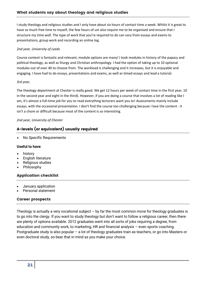I study theology and religious studies and I only have about six hours of contact time a week. Whilst it is great to have so much free time to myself, the few hours of uni also require me to be organised and ensure that I structure my time well. The type of work that you're required to do can vary from essays and exams to presentations, group work and recording an online log.

# *2nd year, University of Leeds*

Course content is fantastic and relevant, module options are many! I took modules in history of the papacy and political theology, as well as liturgy and Christian anthropology. I had the option of taking up to 10 optional modules out of over 40 to choose from. The workload is challenging and it increases, but it is enjoyable and engaging. I have had to do essays, presentations and exams, as well as timed essays and lead a tutorial.

# *3rd year,*

The theology department at Chester is really good. We get 12 hours per week of contact time in the first year, 10 in the second year and eight in the third). However, if you are doing a course that involves a lot of reading like I am, it's almost a full-time job for you to read everything lecturers want you to! Assessments mainly include essays, with the occasional presentation. I don't find the course too challenging because I love the content - it isn't a chore or difficult because most of the content is so interesting.

# *2nd year, University of Chester*

# A-levels (or equivalent) usually required

No Specific Requirements

# **Useful to have**

- history
- English literature
- Religious studies
- Philosophy

# Application checklist

- January application
- Personal statement

# Career prospects

Theology is actually a very vocational subject – by far the most common move for theology graduates is to go into the clergy. If you want to study theology but don't want to follow a religious career, then there are plenty of options available. 2012 graduates went into all sorts of jobs requiring a degree, from education and community work, to marketing, HR and financial analysis – even sports coaching. Postgraduate study is also popular – a lot of theology graduates train as teachers, or go into Masters or even doctoral study, so bear that in mind as you make your choice.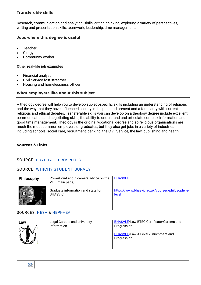Research, communication and analytical skills, critical thinking, exploring a variety of perspectives, writing and presentation skills, teamwork, leadership, time management.

# Jobs where this degree is useful

- Teacher
- **Clergy**
- Community worker

#### **Other real-life job examples**

- Financial analyst
- Civil Service fast streamer
- Housing and homelessness officer

# What employers like about this subject

A theology degree will help you to develop subject-specific skills including an understanding of religions and the way that they have influenced society in the past and present and a familiarity with current religious and ethical debates. Transferable skills you can develop on a theology degree include excellent communication and negotiating skills, the ability to understand and articulate complex information and good time management. Theology is the original vocational degree and so religious organisations are much the most common employers of graduates, but they also get jobs in a variety of industries including schools, social care, recruitment, banking, the Civil Service, the law, publishing and health.

# Sources & Links

# SOURCE: GRADUATE [PROSPECTS](https://university.which.co.uk/about/who-we-work-with#graduate-prospects)

# SOURCE: WHICH? [STUDENT](https://university.which.co.uk/about/where-we-get-our-info#which-student-survey) SURVEY

| <b>Philosophy</b> | PowerPoint about careers advice on the<br>VLE (main page). | <b>BHASVLE</b>                                           |
|-------------------|------------------------------------------------------------|----------------------------------------------------------|
|                   | Graduate information and stats for<br>BHASVIC.             | https://www.bhasvic.ac.uk/courses/philosophy-a-<br>level |

SOURCES: [HESA](https://university.which.co.uk/about/where-we-get-our-info#hesa-student-record) & [HEPI-HEA](https://university.which.co.uk/about/where-we-get-our-info#hepi-hea)

| Law | Legal Careers and university | <b>BHASVLE/Law BTEC Certificate/Careers and</b>                          |
|-----|------------------------------|--------------------------------------------------------------------------|
|     | information.                 | Progression<br><b>BHASVLE/Law A Level /Enrichment and</b><br>Progression |